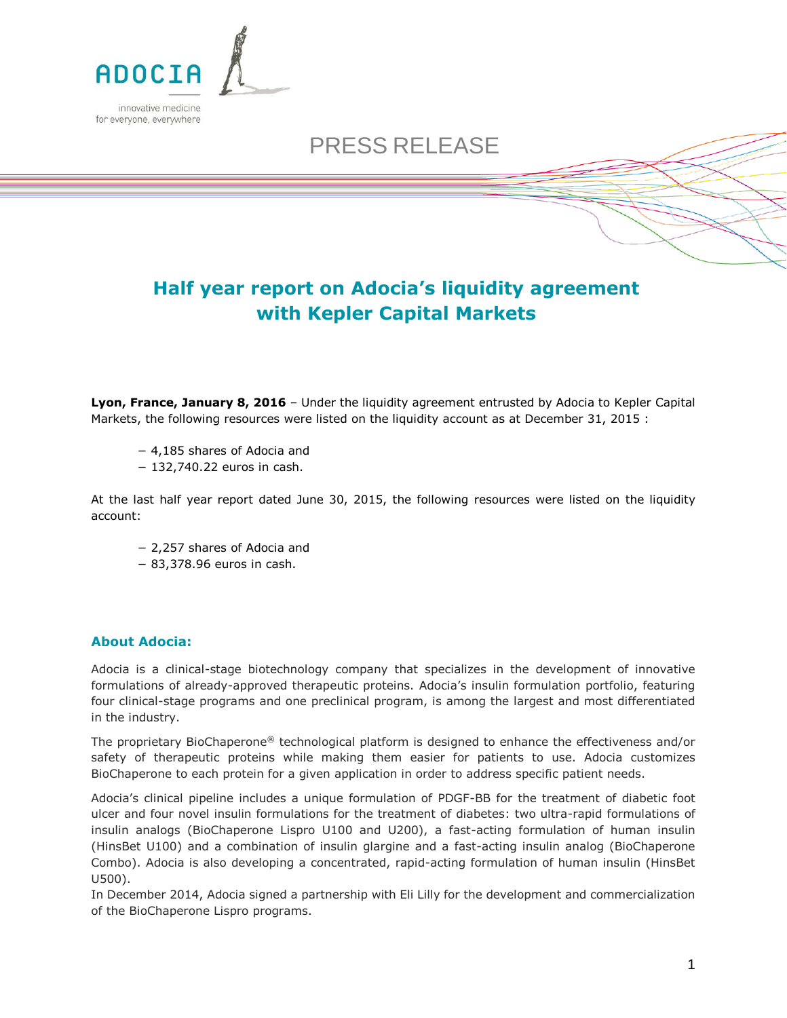

## PRESS RELEASE

## **Half year report on Adocia's liquidity agreement with Kepler Capital Markets**

**Lyon, France, January 8, 2016** – Under the liquidity agreement entrusted by Adocia to Kepler Capital Markets, the following resources were listed on the liquidity account as at December 31, 2015 :

- − 4,185 shares of Adocia and
- − 132,740.22 euros in cash.

At the last half year report dated June 30, 2015, the following resources were listed on the liquidity account:

- − 2,257 shares of Adocia and
- − 83,378.96 euros in cash.

## **About Adocia:**

Adocia is a clinical-stage biotechnology company that specializes in the development of innovative formulations of already-approved therapeutic proteins. Adocia's insulin formulation portfolio, featuring four clinical-stage programs and one preclinical program, is among the largest and most differentiated in the industry.

The proprietary BioChaperone® technological platform is designed to enhance the effectiveness and/or safety of therapeutic proteins while making them easier for patients to use. Adocia customizes BioChaperone to each protein for a given application in order to address specific patient needs.

Adocia's clinical pipeline includes a unique formulation of PDGF-BB for the treatment of diabetic foot ulcer and four novel insulin formulations for the treatment of diabetes: two ultra-rapid formulations of insulin analogs (BioChaperone Lispro U100 and U200), a fast-acting formulation of human insulin (HinsBet U100) and a combination of insulin glargine and a fast-acting insulin analog (BioChaperone Combo). Adocia is also developing a concentrated, rapid-acting formulation of human insulin (HinsBet U500).

In December 2014, Adocia signed a partnership with Eli Lilly for the development and commercialization of the BioChaperone Lispro programs.